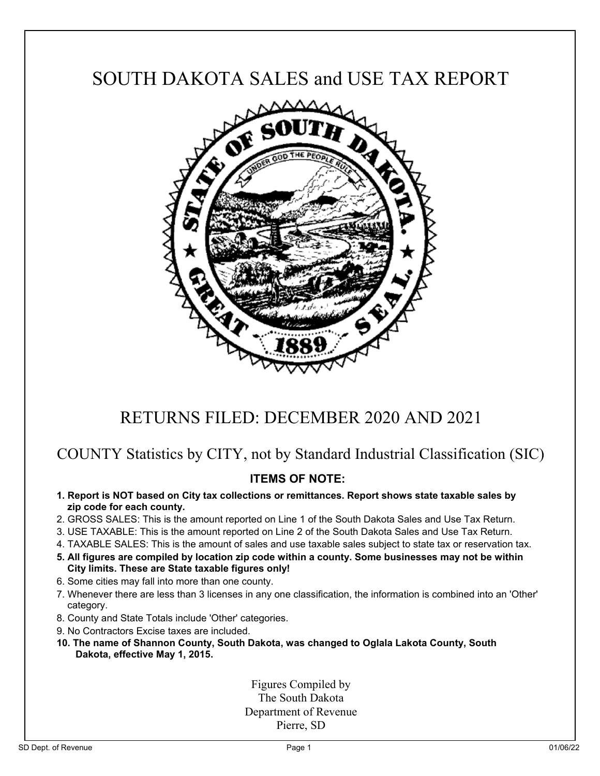# SOUTH DAKOTA SALES and USE TAX REPORT



## RETURNS FILED: DECEMBER 2020 AND 2021

## COUNTY Statistics by CITY, not by Standard Industrial Classification (SIC)

## **ITEMS OF NOTE:**

- **1. Report is NOT based on City tax collections or remittances. Report shows state taxable sales by zip code for each county.**
- 2. GROSS SALES: This is the amount reported on Line 1 of the South Dakota Sales and Use Tax Return.
- 3. USE TAXABLE: This is the amount reported on Line 2 of the South Dakota Sales and Use Tax Return.
- 4. TAXABLE SALES: This is the amount of sales and use taxable sales subject to state tax or reservation tax.
- **5. All figures are compiled by location zip code within a county. Some businesses may not be within City limits. These are State taxable figures only!**
- 6. Some cities may fall into more than one county.
- 7. Whenever there are less than 3 licenses in any one classification, the information is combined into an 'Other' category.
- 8. County and State Totals include 'Other' categories.
- 9. No Contractors Excise taxes are included.
- **10. The name of Shannon County, South Dakota, was changed to Oglala Lakota County, South Dakota, effective May 1, 2015.**

Figures Compiled by The South Dakota Department of Revenue Pierre, SD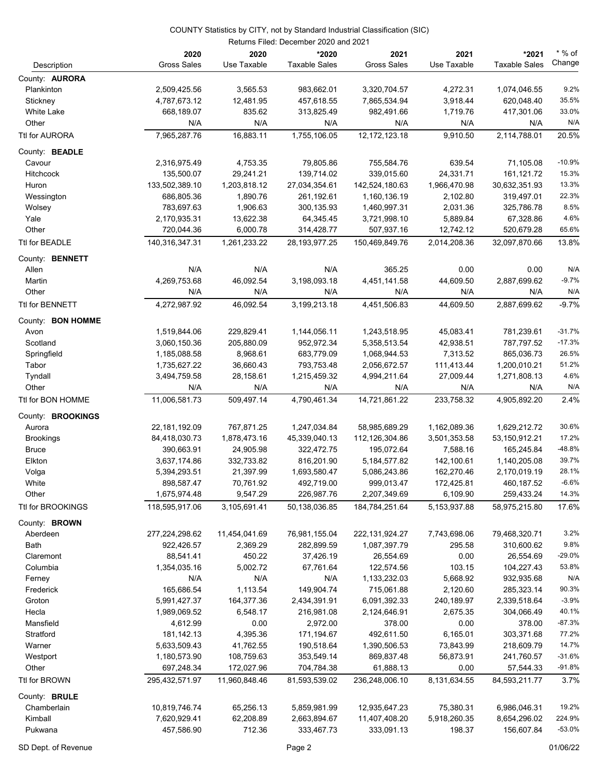|                       |                            |                     | Returns Filed: December 2020 and 2021 |                            |                     |                               |                    |
|-----------------------|----------------------------|---------------------|---------------------------------------|----------------------------|---------------------|-------------------------------|--------------------|
| Description           | 2020<br><b>Gross Sales</b> | 2020<br>Use Taxable | *2020<br><b>Taxable Sales</b>         | 2021<br><b>Gross Sales</b> | 2021<br>Use Taxable | *2021<br><b>Taxable Sales</b> | $*$ % of<br>Change |
| County: <b>AURORA</b> |                            |                     |                                       |                            |                     |                               |                    |
| Plankinton            | 2,509,425.56               | 3,565.53            | 983,662.01                            | 3,320,704.57               | 4,272.31            | 1,074,046.55                  | 9.2%               |
| Stickney              | 4,787,673.12               | 12,481.95           | 457,618.55                            | 7,865,534.94               | 3,918.44            | 620,048.40                    | 35.5%              |
| White Lake            | 668,189.07                 | 835.62              | 313,825.49                            | 982,491.66                 | 1,719.76            | 417,301.06                    | 33.0%              |
| Other                 | N/A                        | N/A                 | N/A                                   | N/A                        | N/A                 | N/A                           | N/A                |
| Ttl for AURORA        | 7,965,287.76               | 16,883.11           | 1,755,106.05                          | 12, 172, 123. 18           | 9,910.50            | 2,114,788.01                  | 20.5%              |
| County: BEADLE        |                            |                     |                                       |                            |                     |                               |                    |
| Cavour                | 2,316,975.49               | 4,753.35            | 79,805.86                             | 755,584.76                 | 639.54              | 71,105.08                     | $-10.9%$           |
| <b>Hitchcock</b>      | 135,500.07                 | 29,241.21           | 139,714.02                            | 339,015.60                 | 24,331.71           | 161,121.72                    | 15.3%              |
| Huron                 | 133,502,389.10             | 1,203,818.12        | 27,034,354.61                         | 142,524,180.63             | 1,966,470.98        | 30,632,351.93                 | 13.3%              |
| Wessington            | 686,805.36                 | 1,890.76            | 261,192.61                            | 1,160,136.19               | 2,102.80            | 319,497.01                    | 22.3%              |
| Wolsey                | 783,697.63                 | 1,906.63            | 300,135.93                            | 1,460,997.31               | 2,031.36            | 325,786.78                    | 8.5%               |
| Yale                  | 2,170,935.31               | 13,622.38           | 64,345.45                             | 3,721,998.10               | 5,889.84            | 67,328.86                     | 4.6%               |
| Other                 | 720,044.36                 | 6,000.78            | 314,428.77                            | 507,937.16                 | 12,742.12           | 520,679.28                    | 65.6%              |
| Ttl for BEADLE        | 140.316.347.31             | 1,261,233.22        | 28, 193, 977. 25                      | 150,469,849.76             | 2,014,208.36        | 32,097,870.66                 | 13.8%              |
| County: BENNETT       |                            |                     |                                       |                            |                     |                               |                    |
| Allen                 | N/A                        | N/A                 | N/A                                   | 365.25                     | 0.00                | 0.00                          | N/A                |
| Martin                | 4,269,753.68               | 46,092.54           | 3,198,093.18                          | 4,451,141.58               | 44,609.50           | 2,887,699.62                  | $-9.7%$            |
| Other                 | N/A                        | N/A                 | N/A                                   | N/A                        | N/A                 | N/A                           | N/A                |
| Ttl for BENNETT       | 4,272,987.92               | 46,092.54           | 3,199,213.18                          | 4,451,506.83               | 44,609.50           | 2,887,699.62                  | $-9.7%$            |
| County: BON HOMME     |                            |                     |                                       |                            |                     |                               |                    |
| Avon                  | 1,519,844.06               | 229,829.41          | 1,144,056.11                          | 1,243,518.95               | 45,083.41           | 781,239.61                    | $-31.7%$           |
| Scotland              | 3,060,150.36               | 205,880.09          | 952,972.34                            | 5,358,513.54               | 42,938.51           | 787,797.52                    | $-17.3%$           |
| Springfield           | 1,185,088.58               | 8,968.61            | 683,779.09                            | 1,068,944.53               | 7,313.52            | 865,036.73                    | 26.5%              |
| Tabor                 | 1,735,627.22               | 36,660.43           | 793,753.48                            | 2,056,672.57               | 111,413.44          | 1,200,010.21                  | 51.2%              |
| Tyndall               | 3,494,759.58               | 28,158.61           | 1,215,459.32                          | 4,994,211.64               | 27,009.44           | 1,271,808.13                  | 4.6%               |
| Other                 | N/A                        | N/A                 | N/A                                   | N/A                        | N/A                 | N/A                           | N/A                |
| Ttl for BON HOMME     | 11,006,581.73              | 509,497.14          | 4,790,461.34                          | 14,721,861.22              | 233,758.32          | 4,905,892.20                  | 2.4%               |
| County: BROOKINGS     |                            |                     |                                       |                            |                     |                               |                    |
| Aurora                | 22,181,192.09              | 767,871.25          | 1,247,034.84                          | 58,985,689.29              | 1,162,089.36        | 1,629,212.72                  | 30.6%              |
| <b>Brookings</b>      | 84,418,030.73              | 1,878,473.16        | 45,339,040.13                         | 112,126,304.86             | 3,501,353.58        | 53,150,912.21                 | 17.2%              |
| Bruce                 | 390,663.91                 | 24,905.98           | 322,472.75                            | 195,072.64                 | 7,588.16            | 165,245.84                    | -48.8%             |
| Elkton                | 3,637,174.86               | 332,733.82          | 816,201.90                            | 5, 184, 577.82             | 142,100.61          | 1,140,205.08                  | 39.7%              |
| Volga                 | 5,394,293.51               | 21,397.99           | 1,693,580.47                          | 5,086,243.86               | 162,270.46          | 2,170,019.19                  | 28.1%              |
| White                 | 898,587.47                 | 70,761.92           | 492,719.00                            | 999,013.47                 | 172,425.81          | 460,187.52                    | $-6.6%$            |
| Other                 | 1,675,974.48               | 9,547.29            | 226,987.76                            | 2,207,349.69               | 6,109.90            | 259,433.24                    | 14.3%              |
| Ttl for BROOKINGS     | 118,595,917.06             | 3,105,691.41        | 50,138,036.85                         | 184,784,251.64             | 5,153,937.88        | 58,975,215.80                 | 17.6%              |
| County: BROWN         |                            |                     |                                       |                            |                     |                               |                    |
| Aberdeen              | 277,224,298.62             | 11,454,041.69       | 76,981,155.04                         | 222, 131, 924. 27          | 7,743,698.06        | 79,468,320.71                 | 3.2%               |
| Bath                  | 922,426.57                 | 2,369.29            | 282,899.59                            | 1,087,397.79               | 295.58              | 310,600.62                    | 9.8%               |
| Claremont             | 88,541.41                  | 450.22              | 37,426.19                             | 26,554.69                  | 0.00                | 26,554.69                     | $-29.0%$           |
| Columbia              | 1,354,035.16               | 5,002.72            | 67,761.64                             | 122,574.56                 | 103.15              | 104,227.43                    | 53.8%              |
| Ferney                | N/A                        | N/A                 | N/A                                   | 1,133,232.03               | 5,668.92            | 932,935.68                    | N/A                |
| Frederick             | 165,686.54                 | 1,113.54            | 149,904.74                            | 715,061.88                 | 2,120.60            | 285,323.14                    | 90.3%              |
| Groton                | 5,991,427.37               | 164,377.36          | 2,434,391.91                          | 6,091,392.33               | 240,189.97          | 2,339,518.64                  | $-3.9%$            |
| Hecla                 | 1,989,069.52               | 6,548.17            | 216,981.08                            | 2,124,646.91               | 2,675.35            | 304,066.49                    | 40.1%              |
| Mansfield             | 4,612.99                   | 0.00                | 2,972.00                              | 378.00                     | 0.00                | 378.00                        | $-87.3%$           |
| Stratford             | 181, 142. 13               | 4,395.36            | 171,194.67                            | 492,611.50                 | 6,165.01            | 303,371.68                    | 77.2%              |
| Warner                | 5,633,509.43               | 41,762.55           | 190,518.64                            | 1,390,506.53               | 73,843.99           | 218,609.79                    | 14.7%              |
| Westport              | 1,180,573.90               | 108,759.63          | 353,549.14                            | 869,837.48                 | 56,873.91           | 241,760.57                    | $-31.6%$           |
| Other                 | 697,248.34                 | 172,027.96          | 704,784.38                            | 61,888.13                  | 0.00                | 57,544.33                     | $-91.8%$           |
| Ttl for BROWN         | 295,432,571.97             | 11,960,848.46       | 81,593,539.02                         | 236,248,006.10             | 8,131,634.55        | 84,593,211.77                 | 3.7%               |
| County: BRULE         |                            |                     |                                       |                            |                     |                               |                    |
| Chamberlain           | 10,819,746.74              | 65,256.13           | 5,859,981.99                          | 12,935,647.23              | 75,380.31           | 6,986,046.31                  | 19.2%              |
| Kimball               | 7,620,929.41               | 62,208.89           | 2,663,894.67                          | 11,407,408.20              | 5,918,260.35        | 8,654,296.02                  | 224.9%             |
| Pukwana               | 457,586.90                 | 712.36              | 333,467.73                            | 333,091.13                 | 198.37              | 156,607.84                    | $-53.0%$           |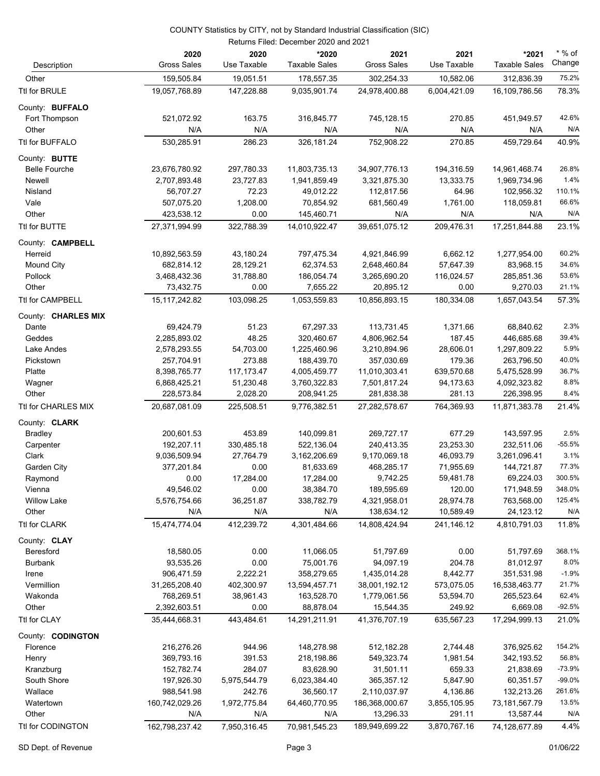|                                 | Returns Filed: December 2020 and 2021 |                        |                               |                            |                      |                               |                    |  |
|---------------------------------|---------------------------------------|------------------------|-------------------------------|----------------------------|----------------------|-------------------------------|--------------------|--|
| Description                     | 2020<br><b>Gross Sales</b>            | 2020<br>Use Taxable    | *2020<br><b>Taxable Sales</b> | 2021<br><b>Gross Sales</b> | 2021<br>Use Taxable  | *2021<br><b>Taxable Sales</b> | $*$ % of<br>Change |  |
| Other                           | 159,505.84                            | 19,051.51              | 178,557.35                    | 302,254.33                 | 10,582.06            | 312,836.39                    | 75.2%              |  |
| Ttl for BRULE                   | 19,057,768.89                         | 147,228.88             | 9,035,901.74                  | 24,978,400.88              | 6,004,421.09         | 16,109,786.56                 | 78.3%              |  |
| County: BUFFALO                 |                                       |                        |                               |                            |                      |                               |                    |  |
| Fort Thompson                   | 521,072.92                            | 163.75                 | 316,845.77                    | 745,128.15                 | 270.85               | 451,949.57                    | 42.6%              |  |
| Other                           | N/A                                   | N/A                    | N/A                           | N/A                        | N/A                  | N/A                           | N/A                |  |
| Ttl for BUFFALO                 | 530,285.91                            | 286.23                 | 326,181.24                    | 752,908.22                 | 270.85               | 459,729.64                    | 40.9%              |  |
| County: BUTTE                   |                                       |                        |                               |                            |                      |                               |                    |  |
| <b>Belle Fourche</b>            | 23,676,780.92                         | 297,780.33             | 11,803,735.13                 | 34,907,776.13              | 194,316.59           | 14,961,468.74                 | 26.8%              |  |
| Newell                          | 2,707,893.48                          | 23,727.83              | 1,941,859.49                  | 3,321,875.30               | 13,333.75            | 1,969,734.96                  | 1.4%               |  |
| Nisland                         | 56,707.27                             | 72.23                  | 49,012.22                     | 112,817.56                 | 64.96                | 102,956.32                    | 110.1%             |  |
| Vale                            | 507,075.20                            | 1,208.00               | 70,854.92                     | 681,560.49                 | 1,761.00             | 118,059.81                    | 66.6%              |  |
| Other                           | 423,538.12                            | 0.00                   | 145,460.71                    | N/A                        | N/A                  | N/A                           | N/A                |  |
| Ttl for BUTTE                   | 27,371,994.99                         | 322,788.39             | 14,010,922.47                 | 39,651,075.12              | 209,476.31           | 17,251,844.88                 | 23.1%              |  |
| County: <b>CAMPBELL</b>         |                                       |                        |                               |                            |                      |                               |                    |  |
| Herreid                         | 10,892,563.59                         | 43,180.24              | 797,475.34                    | 4,921,846.99               | 6,662.12             | 1,277,954.00                  | 60.2%              |  |
| Mound City                      | 682,814.12                            | 28,129.21              | 62,374.53                     | 2,648,460.84               | 57,647.39            | 83,968.15                     | 34.6%              |  |
| Pollock                         | 3,468,432.36                          | 31,788.80              | 186,054.74                    | 3,265,690.20               | 116,024.57           | 285,851.36                    | 53.6%              |  |
| Other                           | 73,432.75                             | 0.00                   | 7,655.22                      | 20,895.12                  | 0.00                 | 9,270.03                      | 21.1%              |  |
| <b>Ttl for CAMPBELL</b>         | 15, 117, 242.82                       | 103,098.25             | 1.053.559.83                  | 10.856.893.15              | 180,334.08           | 1,657,043.54                  | 57.3%              |  |
| County: CHARLES MIX             |                                       |                        |                               |                            |                      |                               |                    |  |
| Dante                           | 69,424.79                             | 51.23                  | 67,297.33                     | 113,731.45                 | 1,371.66             | 68,840.62                     | 2.3%               |  |
| Geddes                          | 2,285,893.02                          | 48.25                  | 320,460.67                    | 4,806,962.54               | 187.45               | 446,685.68                    | 39.4%              |  |
| Lake Andes                      | 2,578,293.55                          | 54,703.00              | 1,225,460.96                  | 3,210,894.96               | 28,606.01            | 1,297,809.22                  | 5.9%               |  |
| Pickstown                       | 257,704.91                            | 273.88                 | 188,439.70                    | 357,030.69                 | 179.36               | 263,796.50                    | 40.0%              |  |
| Platte                          | 8,398,765.77                          | 117,173.47             | 4,005,459.77                  | 11,010,303.41              | 639,570.68           | 5,475,528.99                  | 36.7%              |  |
| Wagner                          | 6,868,425.21                          | 51,230.48              | 3,760,322.83                  | 7,501,817.24               | 94,173.63            | 4,092,323.82                  | 8.8%<br>8.4%       |  |
| Other                           | 228,573.84                            | 2,028.20<br>225,508.51 | 208,941.25<br>9,776,382.51    | 281,838.38                 | 281.13<br>764,369.93 | 226,398.95                    |                    |  |
| Ttl for CHARLES MIX             | 20,687,081.09                         |                        |                               | 27,282,578.67              |                      | 11,871,383.78                 | 21.4%              |  |
| County: CLARK<br><b>Bradley</b> |                                       | 453.89                 | 140,099.81                    | 269,727.17                 | 677.29               | 143,597.95                    | 2.5%               |  |
| Carpenter                       | 200,601.53<br>192,207.11              | 330,485.18             | 522,136.04                    | 240,413.35                 | 23,253.30            | 232,511.06                    | $-55.5%$           |  |
| Clark                           | 9,036,509.94                          | 27,764.79              | 3,162,206.69                  | 9,170,069.18               | 46,093.79            | 3,261,096.41                  | 3.1%               |  |
| Garden City                     | 377,201.84                            | 0.00                   | 81,633.69                     | 468,285.17                 | 71,955.69            | 144,721.87                    | 77.3%              |  |
| Raymond                         | 0.00                                  | 17,284.00              | 17,284.00                     | 9,742.25                   | 59,481.78            | 69,224.03                     | 300.5%             |  |
| Vienna                          | 49,546.02                             | 0.00                   | 38,384.70                     | 189,595.69                 | 120.00               | 171,948.59                    | 348.0%             |  |
| <b>Willow Lake</b>              | 5,576,754.66                          | 36,251.87              | 338,782.79                    | 4,321,958.01               | 28,974.78            | 763,568.00                    | 125.4%             |  |
| Other                           | N/A                                   | N/A                    | N/A                           | 138,634.12                 | 10,589.49            | 24,123.12                     | N/A                |  |
| Ttl for CLARK                   | 15,474,774.04                         | 412,239.72             | 4,301,484.66                  | 14,808,424.94              | 241,146.12           | 4,810,791.03                  | 11.8%              |  |
| County: CLAY                    |                                       |                        |                               |                            |                      |                               |                    |  |
| Beresford                       | 18,580.05                             | 0.00                   | 11,066.05                     | 51,797.69                  | 0.00                 | 51,797.69                     | 368.1%             |  |
| <b>Burbank</b>                  | 93,535.26                             | 0.00                   | 75,001.76                     | 94,097.19                  | 204.78               | 81,012.97                     | 8.0%               |  |
| Irene                           | 906,471.59                            | 2,222.21               | 358,279.65                    | 1,435,014.28               | 8,442.77             | 351,531.98                    | $-1.9%$            |  |
| Vermillion                      | 31,265,208.40                         | 402,300.97             | 13,594,457.71                 | 38,001,192.12              | 573,075.05           | 16,538,463.77                 | 21.7%              |  |
| Wakonda                         | 768,269.51                            | 38,961.43              | 163,528.70                    | 1,779,061.56               | 53,594.70            | 265,523.64                    | 62.4%              |  |
| Other                           | 2,392,603.51                          | 0.00                   | 88,878.04                     | 15,544.35                  | 249.92               | 6,669.08                      | $-92.5%$           |  |
| Ttl for CLAY                    | 35,444,668.31                         | 443,484.61             | 14,291,211.91                 | 41,376,707.19              | 635,567.23           | 17,294,999.13                 | 21.0%              |  |
| County: CODINGTON               |                                       |                        |                               |                            |                      |                               |                    |  |
| Florence                        | 216,276.26                            | 944.96                 | 148,278.98                    | 512,182.28                 | 2,744.48             | 376,925.62                    | 154.2%             |  |
| Henry                           | 369,793.16                            | 391.53                 | 218,198.86                    | 549,323.74                 | 1,981.54             | 342,193.52                    | 56.8%              |  |
| Kranzburg                       | 152,782.74                            | 284.07                 | 83,628.90                     | 31,501.11                  | 659.33               | 21,838.69                     | $-73.9%$           |  |
| South Shore                     | 197,926.30                            | 5,975,544.79           | 6,023,384.40                  | 365,357.12                 | 5,847.90             | 60,351.57                     | $-99.0%$           |  |
| Wallace                         | 988,541.98                            | 242.76                 | 36,560.17                     | 2,110,037.97               | 4,136.86             | 132,213.26                    | 261.6%             |  |
| Watertown                       | 160,742,029.26                        | 1,972,775.84           | 64,460,770.95                 | 186,368,000.67             | 3,855,105.95         | 73, 181, 567. 79              | 13.5%              |  |
| Other                           | N/A                                   | N/A                    | N/A                           | 13,296.33                  | 291.11               | 13,587.44                     | N/A                |  |
| Ttl for CODINGTON               | 162,798,237.42                        | 7,950,316.45           | 70,981,545.23                 | 189,949,699.22             | 3,870,767.16         | 74,128,677.89                 | 4.4%               |  |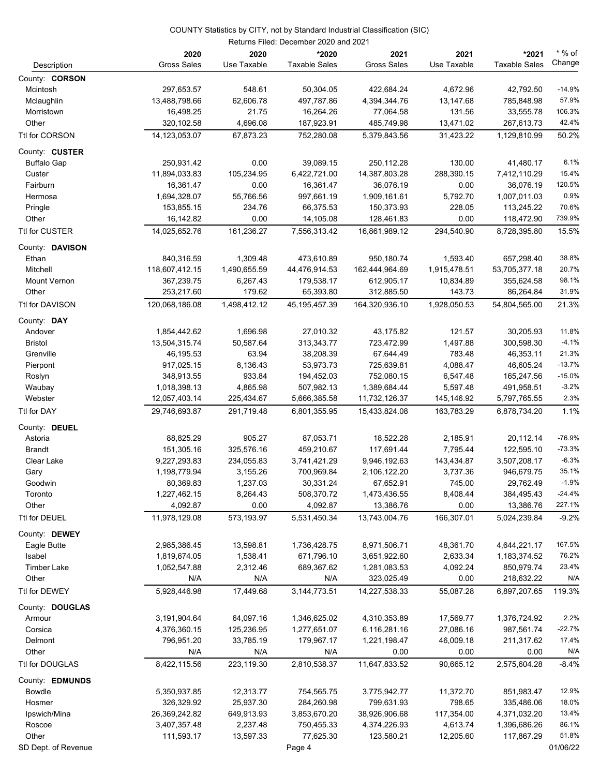|                     |                    | Returns Filed: December 2020 and 2021 |                      |                    |              |                      |          |
|---------------------|--------------------|---------------------------------------|----------------------|--------------------|--------------|----------------------|----------|
|                     | 2020               | 2020                                  | *2020                | 2021               | 2021         | *2021                | $*$ % of |
| Description         | <b>Gross Sales</b> | Use Taxable                           | <b>Taxable Sales</b> | <b>Gross Sales</b> | Use Taxable  | <b>Taxable Sales</b> | Change   |
| County: CORSON      |                    |                                       |                      |                    |              |                      |          |
| Mcintosh            | 297,653.57         | 548.61                                | 50,304.05            | 422,684.24         | 4,672.96     | 42,792.50            | $-14.9%$ |
| Mclaughlin          | 13,488,798.66      | 62,606.78                             | 497,787.86           | 4,394,344.76       | 13,147.68    | 785,848.98           | 57.9%    |
| Morristown          | 16,498.25          | 21.75                                 | 16,264.26            | 77,064.58          | 131.56       | 33,555.78            | 106.3%   |
| Other               | 320,102.58         | 4,696.08                              | 187,923.91           | 485,749.98         | 13,471.02    | 267,613.73           | 42.4%    |
| Ttl for CORSON      | 14,123,053.07      | 67.873.23                             | 752,280.08           | 5,379,843.56       | 31,423.22    | 1,129,810.99         | 50.2%    |
| County: CUSTER      |                    |                                       |                      |                    |              |                      |          |
| <b>Buffalo Gap</b>  | 250,931.42         | 0.00                                  | 39,089.15            | 250,112.28         | 130.00       | 41,480.17            | 6.1%     |
| Custer              | 11,894,033.83      | 105,234.95                            | 6,422,721.00         | 14,387,803.28      | 288,390.15   | 7,412,110.29         | 15.4%    |
| Fairburn            | 16,361.47          | 0.00                                  | 16,361.47            | 36,076.19          | 0.00         | 36,076.19            | 120.5%   |
| Hermosa             | 1,694,328.07       | 55,766.56                             | 997,661.19           | 1,909,161.61       | 5,792.70     | 1,007,011.03         | 0.9%     |
| Pringle             | 153,855.15         | 234.76                                | 66,375.53            | 150,373.93         | 228.05       | 113,245.22           | 70.6%    |
| Other               | 16,142.82          | 0.00                                  | 14,105.08            | 128,461.83         | 0.00         | 118,472.90           | 739.9%   |
| Ttl for CUSTER      | 14,025,652.76      | 161,236.27                            | 7,556,313.42         | 16,861,989.12      | 294,540.90   | 8,728,395.80         | 15.5%    |
| County: DAVISON     |                    |                                       |                      |                    |              |                      |          |
| Ethan               | 840,316.59         | 1,309.48                              | 473,610.89           | 950,180.74         | 1,593.40     | 657,298.40           | 38.8%    |
| Mitchell            | 118,607,412.15     | 1,490,655.59                          | 44,476,914.53        | 162,444,964.69     | 1,915,478.51 | 53,705,377.18        | 20.7%    |
| <b>Mount Vernon</b> | 367,239.75         | 6,267.43                              | 179,538.17           | 612,905.17         | 10,834.89    | 355,624.58           | 98.1%    |
| Other               | 253,217.60         | 179.62                                | 65,393.80            | 312,885.50         | 143.73       | 86,264.84            | 31.9%    |
| Ttl for DAVISON     | 120,068,186.08     | 1,498,412.12                          | 45, 195, 457. 39     | 164,320,936.10     | 1,928,050.53 | 54,804,565.00        | 21.3%    |
| County: DAY         |                    |                                       |                      |                    |              |                      |          |
| Andover             | 1,854,442.62       | 1,696.98                              | 27,010.32            | 43,175.82          | 121.57       | 30,205.93            | 11.8%    |
| <b>Bristol</b>      | 13,504,315.74      | 50,587.64                             | 313,343.77           | 723,472.99         | 1,497.88     | 300,598.30           | $-4.1%$  |
| Grenville           | 46,195.53          | 63.94                                 | 38,208.39            | 67,644.49          | 783.48       | 46,353.11            | 21.3%    |
| Pierpont            | 917,025.15         | 8,136.43                              | 53,973.73            | 725,639.81         | 4,088.47     | 46,605.24            | $-13.7%$ |
| Roslyn              | 348,913.55         | 933.84                                | 194,452.03           | 752,080.15         | 6,547.48     | 165,247.56           | $-15.0%$ |
| Waubay              | 1,018,398.13       | 4,865.98                              | 507,982.13           | 1,389,684.44       | 5,597.48     | 491,958.51           | $-3.2%$  |
| Webster             | 12,057,403.14      | 225,434.67                            | 5,666,385.58         | 11,732,126.37      | 145,146.92   | 5,797,765.55         | 2.3%     |
| Ttl for DAY         | 29,746,693.87      | 291,719.48                            | 6,801,355.95         | 15,433,824.08      | 163,783.29   | 6,878,734.20         | 1.1%     |
| County: DEUEL       |                    |                                       |                      |                    |              |                      |          |
| Astoria             | 88,825.29          | 905.27                                | 87,053.71            | 18,522.28          | 2,185.91     | 20,112.14            | -76.9%   |
| <b>Brandt</b>       | 151,305.16         | 325,576.16                            | 459,210.67           | 117,691.44         | 7,795.44     | 122,595.10           | $-73.3%$ |
| Clear Lake          | 9,227,293.83       | 234,055.83                            | 3,741,421.29         | 9,946,192.63       | 143,434.87   | 3,507,208.17         | $-6.3%$  |
| Gary                | 1,198,779.94       | 3,155.26                              | 700,969.84           | 2,106,122.20       | 3,737.36     | 946,679.75           | 35.1%    |
| Goodwin             | 80,369.83          | 1,237.03                              | 30,331.24            | 67,652.91          | 745.00       | 29,762.49            | $-1.9%$  |
| Toronto             | 1,227,462.15       | 8,264.43                              | 508,370.72           | 1,473,436.55       | 8,408.44     | 384,495.43           | $-24.4%$ |
| Other               | 4,092.87           | 0.00                                  | 4,092.87             | 13,386.76          | 0.00         | 13,386.76            | 227.1%   |
| Ttl for DEUEL       | 11,978,129.08      | 573,193.97                            | 5,531,450.34         | 13,743,004.76      | 166,307.01   | 5,024,239.84         | $-9.2%$  |
| County: DEWEY       |                    |                                       |                      |                    |              |                      |          |
| Eagle Butte         | 2,985,386.45       | 13,598.81                             | 1,736,428.75         | 8,971,506.71       | 48,361.70    | 4,644,221.17         | 167.5%   |
| Isabel              | 1,819,674.05       | 1,538.41                              | 671,796.10           | 3,651,922.60       | 2,633.34     | 1,183,374.52         | 76.2%    |
| <b>Timber Lake</b>  | 1,052,547.88       | 2,312.46                              | 689,367.62           | 1,281,083.53       | 4,092.24     | 850,979.74           | 23.4%    |
| Other               | N/A                | N/A                                   | N/A                  | 323,025.49         | 0.00         | 218,632.22           | N/A      |
| Ttl for DEWEY       | 5,928,446.98       | 17,449.68                             | 3,144,773.51         | 14,227,538.33      | 55,087.28    | 6,897,207.65         | 119.3%   |
| County: DOUGLAS     |                    |                                       |                      |                    |              |                      |          |
| Armour              | 3,191,904.64       | 64,097.16                             | 1,346,625.02         | 4,310,353.89       | 17,569.77    | 1,376,724.92         | 2.2%     |
| Corsica             | 4,376,360.15       | 125,236.95                            | 1,277,651.07         | 6,116,281.16       | 27,086.16    | 987,561.74           | $-22.7%$ |
| Delmont             | 796,951.20         | 33,785.19                             | 179,967.17           | 1,221,198.47       | 46,009.18    | 211,317.62           | 17.4%    |
| Other               | N/A                | N/A                                   | N/A                  | 0.00               | 0.00         | 0.00                 | N/A      |
| Ttl for DOUGLAS     | 8,422,115.56       | 223,119.30                            | 2,810,538.37         | 11,647,833.52      | 90,665.12    | 2,575,604.28         | $-8.4%$  |
| County: EDMUNDS     |                    |                                       |                      |                    |              |                      |          |
| Bowdle              | 5,350,937.85       | 12,313.77                             | 754,565.75           | 3,775,942.77       | 11,372.70    | 851,983.47           | 12.9%    |
| Hosmer              | 326,329.92         | 25,937.30                             | 284,260.98           | 799,631.93         | 798.65       | 335,486.06           | 18.0%    |
| Ipswich/Mina        | 26,369,242.82      | 649,913.93                            | 3,853,670.20         | 38,926,906.68      | 117,354.00   | 4,371,032.20         | 13.4%    |
| Roscoe              | 3,407,357.48       | 2,237.48                              | 750,455.33           | 4,374,226.93       | 4,613.74     | 1,396,686.26         | 86.1%    |
| Other               | 111,593.17         | 13,597.33                             | 77,625.30            | 123,580.21         | 12,205.60    | 117,867.29           | 51.8%    |
| SD Dept. of Revenue |                    |                                       | Page 4               |                    |              |                      | 01/06/22 |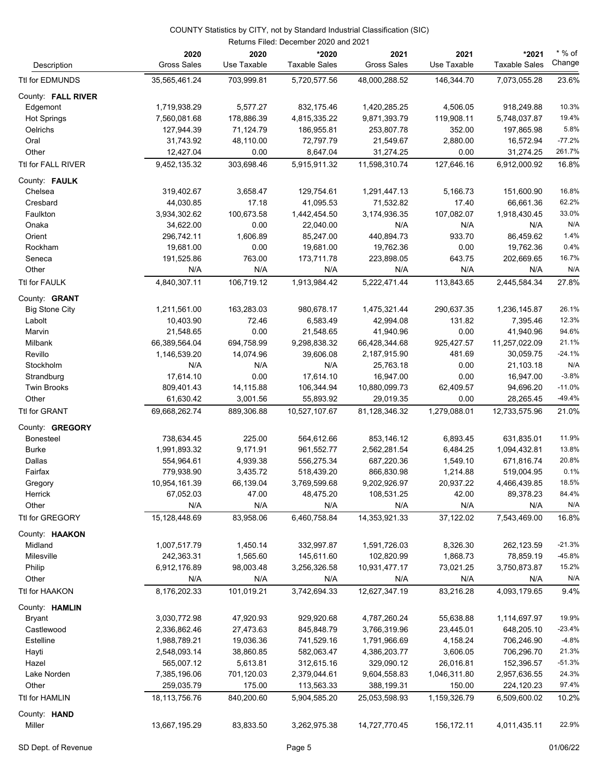| Description           | 2020<br><b>Gross Sales</b> | 2020<br>Use Taxable | *2020<br><b>Taxable Sales</b> | 2021<br><b>Gross Sales</b> | 2021<br>Use Taxable | *2021<br><b>Taxable Sales</b> | $*$ % of<br>Change |
|-----------------------|----------------------------|---------------------|-------------------------------|----------------------------|---------------------|-------------------------------|--------------------|
| Ttl for EDMUNDS       | 35,565,461.24              | 703,999.81          | 5,720,577.56                  | 48,000,288.52              | 146,344.70          | 7,073,055.28                  | 23.6%              |
| County: FALL RIVER    |                            |                     |                               |                            |                     |                               |                    |
| Edgemont              | 1,719,938.29               | 5,577.27            | 832,175.46                    | 1,420,285.25               | 4,506.05            | 918,249.88                    | 10.3%              |
| <b>Hot Springs</b>    | 7,560,081.68               | 178,886.39          | 4,815,335.22                  | 9,871,393.79               | 119,908.11          | 5,748,037.87                  | 19.4%              |
| Oelrichs              | 127,944.39                 |                     | 186,955.81                    | 253,807.78                 | 352.00              | 197,865.98                    | 5.8%               |
|                       |                            | 71,124.79           |                               |                            |                     |                               | $-77.2%$           |
| Oral                  | 31,743.92                  | 48,110.00           | 72,797.79                     | 21,549.67                  | 2,880.00            | 16,572.94                     | 261.7%             |
| Other                 | 12,427.04                  | 0.00                | 8,647.04                      | 31,274.25                  | 0.00                | 31,274.25                     |                    |
| Ttl for FALL RIVER    | 9,452,135.32               | 303,698.46          | 5,915,911.32                  | 11,598,310.74              | 127,646.16          | 6,912,000.92                  | 16.8%              |
| County: FAULK         |                            |                     |                               |                            |                     |                               |                    |
| Chelsea               | 319,402.67                 | 3,658.47            | 129,754.61                    | 1,291,447.13               | 5,166.73            | 151,600.90                    | 16.8%              |
| Cresbard              | 44,030.85                  | 17.18               | 41,095.53                     | 71,532.82                  | 17.40               | 66,661.36                     | 62.2%              |
| Faulkton              | 3,934,302.62               | 100,673.58          | 1,442,454.50                  | 3,174,936.35               | 107,082.07          | 1,918,430.45                  | 33.0%              |
| Onaka                 | 34,622.00                  | 0.00                | 22,040.00                     | N/A                        | N/A                 | N/A                           | N/A                |
| Orient                | 296,742.11                 | 1,606.89            | 85,247.00                     | 440,894.73                 | 933.70              | 86,459.62                     | 1.4%               |
| Rockham               | 19,681.00                  | 0.00                | 19,681.00                     | 19,762.36                  | 0.00                | 19,762.36                     | 0.4%               |
| Seneca                | 191,525.86                 | 763.00              | 173,711.78                    | 223,898.05                 | 643.75              | 202,669.65                    | 16.7%              |
| Other                 | N/A                        | N/A                 | N/A                           | N/A                        | N/A                 | N/A                           | N/A                |
| Ttl for FAULK         | 4,840,307.11               | 106,719.12          | 1,913,984.42                  | 5,222,471.44               | 113,843.65          | 2,445,584.34                  | 27.8%              |
| County: <b>GRANT</b>  |                            |                     |                               |                            |                     |                               |                    |
| <b>Big Stone City</b> | 1,211,561.00               | 163,283.03          | 980,678.17                    | 1,475,321.44               | 290,637.35          | 1,236,145.87                  | 26.1%              |
| Labolt                | 10,403.90                  | 72.46               | 6,583.49                      | 42,994.08                  | 131.82              | 7,395.46                      | 12.3%              |
| Marvin                | 21,548.65                  | 0.00                | 21,548.65                     | 41,940.96                  | 0.00                | 41,940.96                     | 94.6%              |
| Milbank               | 66,389,564.04              | 694,758.99          | 9,298,838.32                  | 66,428,344.68              | 925,427.57          | 11,257,022.09                 | 21.1%              |
| Revillo               | 1,146,539.20               | 14,074.96           | 39,606.08                     | 2,187,915.90               | 481.69              | 30,059.75                     | $-24.1%$           |
| Stockholm             | N/A                        | N/A                 | N/A                           | 25,763.18                  | 0.00                | 21,103.18                     | N/A                |
| Strandburg            | 17,614.10                  | 0.00                | 17,614.10                     | 16,947.00                  | 0.00                | 16,947.00                     | $-3.8%$            |
| <b>Twin Brooks</b>    | 809,401.43                 | 14,115.88           | 106,344.94                    | 10,880,099.73              | 62,409.57           | 94,696.20                     | $-11.0%$           |
| Other                 | 61,630.42                  | 3,001.56            | 55,893.92                     | 29,019.35                  | 0.00                | 28,265.45                     | $-49.4%$           |
| Ttl for GRANT         | 69,668,262.74              | 889,306.88          | 10,527,107.67                 | 81,128,346.32              | 1,279,088.01        | 12,733,575.96                 | 21.0%              |
| County: GREGORY       |                            |                     |                               |                            |                     |                               |                    |
| <b>Bonesteel</b>      | 738,634.45                 | 225.00              | 564,612.66                    | 853,146.12                 | 6,893.45            | 631,835.01                    | 11.9%              |
| <b>Burke</b>          | 1,991,893.32               | 9,171.91            | 961,552.77                    | 2,562,281.54               | 6,484.25            | 1,094,432.81                  | 13.8%              |
| Dallas                | 554,964.61                 | 4,939.38            | 556,275.34                    | 687,220.36                 | 1,549.10            | 671,816.74                    | 20.8%              |
| Fairfax               | 779,938.90                 | 3,435.72            | 518,439.20                    | 866,830.98                 | 1,214.88            | 519,004.95                    | 0.1%               |
| Gregory               | 10,954,161.39              | 66,139.04           | 3,769,599.68                  | 9,202,926.97               | 20,937.22           | 4,466,439.85                  | 18.5%              |
| Herrick               | 67,052.03                  | 47.00               | 48,475.20                     | 108,531.25                 | 42.00               | 89,378.23                     | 84.4%              |
| Other                 | N/A                        | N/A                 | N/A                           | N/A                        | N/A                 | N/A                           | N/A                |
| Ttl for GREGORY       | 15,128,448.69              | 83,958.06           | 6,460,758.84                  | 14,353,921.33              | 37,122.02           | 7,543,469.00                  | 16.8%              |
| County: HAAKON        |                            |                     |                               |                            |                     |                               |                    |
| Midland               | 1,007,517.79               | 1,450.14            | 332,997.87                    | 1,591,726.03               | 8,326.30            | 262,123.59                    | $-21.3%$           |
| Milesville            | 242,363.31                 | 1,565.60            | 145,611.60                    | 102,820.99                 | 1,868.73            | 78,859.19                     | $-45.8%$           |
| Philip                | 6,912,176.89               | 98,003.48           | 3,256,326.58                  | 10,931,477.17              | 73,021.25           | 3,750,873.87                  | 15.2%              |
| Other                 | N/A                        | N/A                 | N/A                           | N/A                        | N/A                 | N/A                           | N/A                |
| Ttl for HAAKON        | 8,176,202.33               | 101,019.21          | 3,742,694.33                  | 12,627,347.19              | 83,216.28           | 4,093,179.65                  | 9.4%               |
| County: HAMLIN        |                            |                     |                               |                            |                     |                               |                    |
| <b>Bryant</b>         | 3,030,772.98               | 47,920.93           | 929,920.68                    | 4,787,260.24               | 55,638.88           | 1,114,697.97                  | 19.9%              |
| Castlewood            | 2,336,862.46               | 27,473.63           | 845,848.79                    | 3,766,319.96               | 23,445.01           | 648,205.10                    | $-23.4%$           |
| Estelline             | 1,988,789.21               | 19,036.36           | 741,529.16                    | 1,791,966.69               | 4,158.24            | 706,246.90                    | $-4.8%$            |
| Hayti                 | 2,548,093.14               | 38,860.85           | 582,063.47                    | 4,386,203.77               | 3,606.05            | 706,296.70                    | 21.3%              |
| Hazel                 | 565,007.12                 | 5,613.81            | 312,615.16                    | 329,090.12                 | 26,016.81           | 152,396.57                    | $-51.3%$           |
| Lake Norden           | 7,385,196.06               | 701,120.03          | 2,379,044.61                  | 9,604,558.83               | 1,046,311.80        | 2,957,636.55                  | 24.3%              |
| Other                 | 259,035.79                 | 175.00              | 113,563.33                    | 388,199.31                 | 150.00              | 224,120.23                    | 97.4%              |
| Ttl for HAMLIN        | 18,113,756.76              | 840,200.60          | 5,904,585.20                  | 25,053,598.93              | 1,159,326.79        | 6,509,600.02                  | 10.2%              |
| County: HAND          |                            |                     |                               |                            |                     |                               |                    |
| Miller                | 13,667,195.29              | 83,833.50           | 3,262,975.38                  | 14,727,770.45              | 156,172.11          | 4,011,435.11                  | 22.9%              |
|                       |                            |                     |                               |                            |                     |                               |                    |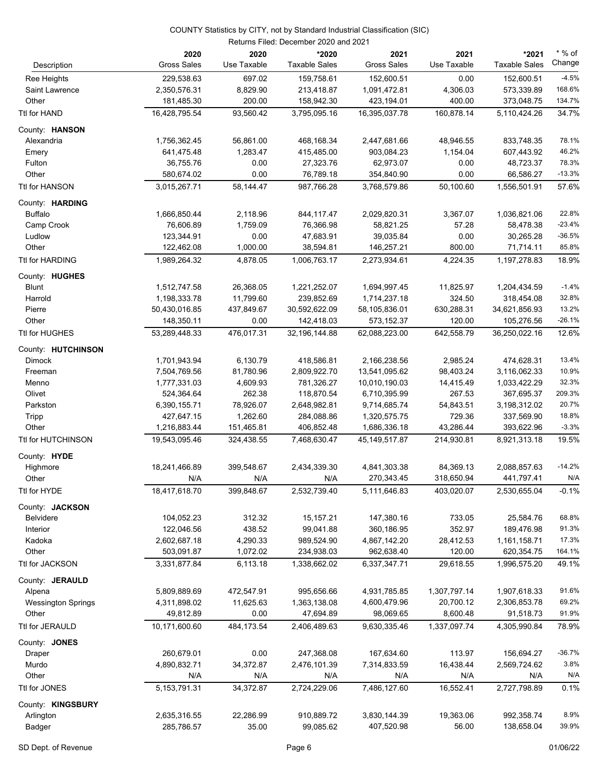|                                | Returns Filed: December 2020 and 2021 |                     |                               |                              |                     |                               |                    |  |
|--------------------------------|---------------------------------------|---------------------|-------------------------------|------------------------------|---------------------|-------------------------------|--------------------|--|
| Description                    | 2020<br><b>Gross Sales</b>            | 2020<br>Use Taxable | *2020<br><b>Taxable Sales</b> | 2021<br><b>Gross Sales</b>   | 2021<br>Use Taxable | *2021<br><b>Taxable Sales</b> | $*$ % of<br>Change |  |
| Ree Heights                    | 229,538.63                            | 697.02              | 159,758.61                    | 152,600.51                   | 0.00                | 152,600.51                    | $-4.5%$            |  |
| Saint Lawrence                 | 2,350,576.31                          | 8,829.90            | 213,418.87                    | 1,091,472.81                 | 4,306.03            | 573,339.89                    | 168.6%             |  |
| Other                          | 181,485.30                            | 200.00              | 158,942.30                    | 423,194.01                   | 400.00              | 373,048.75                    | 134.7%             |  |
| Ttl for HAND                   | 16,428,795.54                         | 93,560.42           | 3,795,095.16                  | 16,395,037.78                | 160,878.14          | 5,110,424.26                  | 34.7%              |  |
| County: HANSON                 |                                       |                     |                               |                              |                     |                               |                    |  |
| Alexandria                     | 1,756,362.45                          | 56,861.00           | 468,168.34                    | 2,447,681.66                 | 48,946.55           | 833,748.35                    | 78.1%              |  |
| Emery                          | 641,475.48                            | 1,283.47            | 415,485.00                    | 903,084.23                   | 1,154.04            | 607,443.92                    | 46.2%              |  |
| Fulton                         | 36,755.76                             | 0.00                | 27,323.76                     | 62,973.07                    | 0.00                | 48,723.37                     | 78.3%              |  |
| Other                          | 580,674.02                            | 0.00                | 76,789.18                     | 354,840.90                   | 0.00                | 66,586.27                     | $-13.3%$           |  |
| Ttl for HANSON                 | 3,015,267.71                          | 58,144.47           | 987,766.28                    | 3,768,579.86                 | 50,100.60           | 1,556,501.91                  | 57.6%              |  |
| County: HARDING                |                                       |                     |                               |                              |                     |                               |                    |  |
| <b>Buffalo</b>                 | 1,666,850.44                          | 2,118.96            | 844,117.47                    | 2,029,820.31                 | 3,367.07            | 1,036,821.06                  | 22.8%              |  |
| Camp Crook                     | 76,606.89                             | 1,759.09            | 76,366.98                     | 58,821.25                    | 57.28               | 58,478.38                     | $-23.4%$           |  |
| Ludlow                         | 123,344.91                            | 0.00                | 47,683.91                     | 39,035.84                    | 0.00                | 30,265.28                     | $-36.5%$           |  |
| Other                          | 122,462.08                            | 1,000.00            | 38,594.81                     | 146,257.21                   | 800.00              | 71,714.11                     | 85.8%              |  |
| Ttl for HARDING                | 1,989,264.32                          | 4.878.05            | 1,006,763.17                  | 2,273,934.61                 | 4,224.35            | 1,197,278.83                  | 18.9%              |  |
| County: HUGHES                 |                                       |                     |                               |                              |                     |                               |                    |  |
| <b>Blunt</b>                   | 1,512,747.58                          | 26,368.05           | 1,221,252.07                  | 1,694,997.45                 | 11,825.97           | 1,204,434.59                  | $-1.4%$            |  |
| Harrold                        | 1,198,333.78                          | 11,799.60           | 239,852.69                    | 1,714,237.18                 | 324.50              | 318,454.08                    | 32.8%              |  |
| Pierre                         | 50,430,016.85                         | 437,849.67          | 30,592,622.09                 | 58,105,836.01                | 630,288.31          | 34,621,856.93                 | 13.2%              |  |
| Other                          | 148,350.11                            | 0.00                | 142,418.03                    | 573,152.37                   | 120.00              | 105,276.56                    | $-26.1%$           |  |
| Ttl for HUGHES                 | 53,289,448.33                         | 476,017.31          | 32,196,144.88                 | 62,088,223.00                | 642,558.79          | 36,250,022.16                 | 12.6%              |  |
| County: HUTCHINSON             |                                       |                     |                               |                              |                     |                               |                    |  |
| Dimock                         | 1,701,943.94                          | 6,130.79            | 418,586.81                    | 2,166,238.56                 | 2,985.24            | 474,628.31                    | 13.4%              |  |
| Freeman                        | 7,504,769.56                          | 81,780.96           | 2,809,922.70                  | 13,541,095.62                | 98,403.24           | 3,116,062.33                  | 10.9%              |  |
| Menno                          | 1,777,331.03                          | 4,609.93<br>262.38  | 781,326.27                    | 10,010,190.03                | 14,415.49<br>267.53 | 1,033,422.29                  | 32.3%<br>209.3%    |  |
| Olivet<br>Parkston             | 524,364.64<br>6,390,155.71            | 78,926.07           | 118,870.54<br>2,648,982.81    | 6,710,395.99<br>9,714,685.74 | 54,843.51           | 367,695.37<br>3,198,312.02    | 20.7%              |  |
| Tripp                          | 427,647.15                            | 1,262.60            | 284,088.86                    | 1,320,575.75                 | 729.36              | 337,569.90                    | 18.8%              |  |
| Other                          | 1,216,883.44                          | 151,465.81          | 406,852.48                    | 1,686,336.18                 | 43,286.44           | 393,622.96                    | $-3.3%$            |  |
| Ttl for HUTCHINSON             | 19.543.095.46                         | 324,438.55          | 7,468,630.47                  | 45,149,517.87                | 214,930.81          | 8,921,313.18                  | 19.5%              |  |
| County: HYDE                   |                                       |                     |                               |                              |                     |                               |                    |  |
| Highmore                       | 18,241,466.89                         | 399,548.67          | 2,434,339.30                  | 4,841,303.38                 | 84,369.13           | 2,088,857.63                  | $-14.2%$           |  |
| Other                          | N/A                                   | N/A                 | N/A                           | 270,343.45                   | 318,650.94          | 441,797.41                    | N/A                |  |
| Ttl for HYDE                   | 18,417,618.70                         | 399,848.67          | 2,532,739.40                  | 5,111,646.83                 | 403,020.07          | 2,530,655.04                  | $-0.1%$            |  |
| County: JACKSON                |                                       |                     |                               |                              |                     |                               |                    |  |
| <b>Belvidere</b>               | 104,052.23                            | 312.32              | 15, 157.21                    | 147,380.16                   | 733.05              | 25,584.76                     | 68.8%              |  |
| Interior                       | 122,046.56                            | 438.52              | 99,041.88                     | 360,186.95                   | 352.97              | 189,476.98                    | 91.3%              |  |
| Kadoka                         | 2,602,687.18                          | 4,290.33            | 989,524.90                    | 4,867,142.20                 | 28,412.53           | 1,161,158.71                  | 17.3%              |  |
| Other                          | 503,091.87                            | 1,072.02            | 234,938.03                    | 962,638.40                   | 120.00              | 620,354.75                    | 164.1%             |  |
| Ttl for JACKSON                | 3,331,877.84                          | 6,113.18            | 1,338,662.02                  | 6,337,347.71                 | 29,618.55           | 1,996,575.20                  | 49.1%              |  |
| County: JERAULD                |                                       |                     |                               |                              |                     |                               |                    |  |
| Alpena                         | 5,809,889.69                          | 472,547.91          | 995,656.66                    | 4,931,785.85                 | 1,307,797.14        | 1,907,618.33                  | 91.6%              |  |
| <b>Wessington Springs</b>      | 4,311,898.02                          | 11,625.63           | 1,363,138.08                  | 4,600,479.96                 | 20,700.12           | 2,306,853.78                  | 69.2%              |  |
| Other                          | 49,812.89                             | 0.00                | 47,694.89                     | 98,069.65                    | 8,600.48            | 91,518.73                     | 91.9%              |  |
| Ttl for JERAULD                | 10,171,600.60                         | 484, 173.54         | 2,406,489.63                  | 9,630,335.46                 | 1,337,097.74        | 4,305,990.84                  | 78.9%              |  |
| County: JONES                  |                                       |                     |                               |                              |                     |                               |                    |  |
| Draper                         | 260,679.01                            | 0.00                | 247,368.08                    | 167,634.60                   | 113.97              | 156,694.27                    | $-36.7%$           |  |
| Murdo                          | 4,890,832.71                          | 34,372.87           | 2,476,101.39                  | 7,314,833.59                 | 16,438.44           | 2,569,724.62                  | 3.8%               |  |
| Other                          | N/A                                   | N/A                 | N/A                           | N/A                          | N/A                 | N/A                           | N/A                |  |
| Ttl for JONES                  | 5, 153, 791. 31                       | 34,372.87           | 2,724,229.06                  | 7,486,127.60                 | 16,552.41           | 2,727,798.89                  | 0.1%               |  |
| County: KINGSBURY<br>Arlington | 2,635,316.55                          | 22,286.99           | 910,889.72                    | 3,830,144.39                 | 19,363.06           | 992,358.74                    | 8.9%               |  |
| <b>Badger</b>                  | 285,786.57                            | 35.00               | 99,085.62                     | 407,520.98                   | 56.00               | 138,658.04                    | 39.9%              |  |
|                                |                                       |                     |                               |                              |                     |                               |                    |  |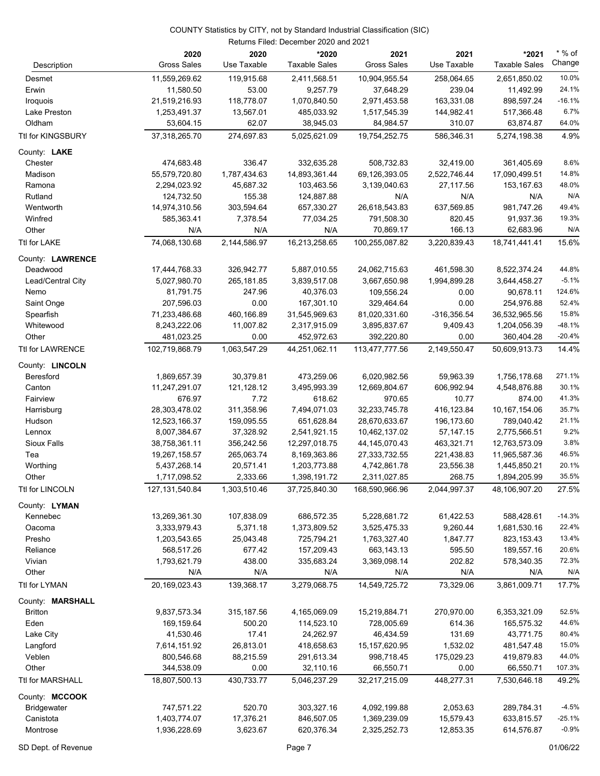| Description             | 2020<br><b>Gross Sales</b> | 2020<br>Use Taxable | *2020<br><b>Taxable Sales</b> | 2021<br><b>Gross Sales</b> | 2021<br>Use Taxable  | *2021<br><b>Taxable Sales</b> | $*$ % of<br>Change |
|-------------------------|----------------------------|---------------------|-------------------------------|----------------------------|----------------------|-------------------------------|--------------------|
|                         |                            |                     |                               |                            |                      |                               | 10.0%              |
| Desmet                  | 11,559,269.62<br>11,580.50 | 119,915.68<br>53.00 | 2,411,568.51<br>9,257.79      | 10,904,955.54<br>37,648.29 | 258,064.65<br>239.04 | 2,651,850.02                  | 24.1%              |
| Erwin<br>Iroquois       | 21,519,216.93              | 118,778.07          | 1,070,840.50                  | 2,971,453.58               | 163,331.08           | 11,492.99<br>898,597.24       | $-16.1%$           |
| Lake Preston            | 1,253,491.37               | 13,567.01           | 485,033.92                    | 1,517,545.39               | 144,982.41           | 517,366.48                    | 6.7%               |
| Oldham                  | 53,604.15                  | 62.07               | 38,945.03                     | 84,984.57                  | 310.07               | 63,874.87                     | 64.0%              |
| Ttl for KINGSBURY       | 37,318,265.70              | 274,697.83          | 5,025,621.09                  | 19,754,252.75              | 586,346.31           | 5,274,198.38                  | 4.9%               |
|                         |                            |                     |                               |                            |                      |                               |                    |
| County: LAKE            | 474,683.48                 | 336.47              | 332,635.28                    | 508,732.83                 | 32,419.00            | 361,405.69                    | 8.6%               |
| Chester<br>Madison      | 55,579,720.80              | 1,787,434.63        | 14,893,361.44                 | 69,126,393.05              | 2,522,746.44         | 17,090,499.51                 | 14.8%              |
| Ramona                  | 2,294,023.92               | 45,687.32           | 103,463.56                    | 3,139,040.63               | 27,117.56            | 153,167.63                    | 48.0%              |
| Rutland                 | 124,732.50                 | 155.38              | 124,887.88                    | N/A                        | N/A                  | N/A                           | N/A                |
| Wentworth               | 14,974,310.56              | 303,594.64          | 657,330.27                    | 26,618,543.83              | 637,569.85           | 981,747.26                    | 49.4%              |
| Winfred                 | 585,363.41                 | 7,378.54            | 77,034.25                     | 791,508.30                 | 820.45               | 91,937.36                     | 19.3%              |
| Other                   | N/A                        | N/A                 | N/A                           | 70,869.17                  | 166.13               | 62,683.96                     | N/A                |
| Ttl for LAKE            | 74,068,130.68              | 2,144,586.97        | 16,213,258.65                 | 100,255,087.82             | 3,220,839.43         | 18,741,441.41                 | 15.6%              |
| County: LAWRENCE        |                            |                     |                               |                            |                      |                               |                    |
| Deadwood                | 17,444,768.33              | 326,942.77          | 5,887,010.55                  | 24,062,715.63              | 461,598.30           | 8,522,374.24                  | 44.8%              |
| Lead/Central City       | 5,027,980.70               | 265,181.85          | 3,839,517.08                  | 3,667,650.98               | 1,994,899.28         | 3,644,458.27                  | $-5.1%$            |
| Nemo                    | 81,791.75                  | 247.96              | 40,376.03                     | 109,556.24                 | 0.00                 | 90,678.11                     | 124.6%             |
| Saint Onge              | 207,596.03                 | 0.00                | 167,301.10                    | 329,464.64                 | 0.00                 | 254,976.88                    | 52.4%              |
| Spearfish               | 71,233,486.68              | 460,166.89          | 31,545,969.63                 | 81,020,331.60              | -316,356.54          | 36,532,965.56                 | 15.8%              |
| Whitewood               | 8,243,222.06               | 11,007.82           | 2,317,915.09                  | 3,895,837.67               | 9,409.43             | 1,204,056.39                  | $-48.1%$           |
| Other                   | 481,023.25                 | 0.00                | 452,972.63                    | 392,220.80                 | 0.00                 | 360,404.28                    | $-20.4%$           |
| <b>Ttl for LAWRENCE</b> | 102,719,868.79             | 1,063,547.29        | 44,251,062.11                 | 113,477,777.56             | 2,149,550.47         | 50,609,913.73                 | 14.4%              |
| County: LINCOLN         |                            |                     |                               |                            |                      |                               |                    |
| Beresford               | 1,869,657.39               | 30,379.81           | 473,259.06                    | 6,020,982.56               | 59,963.39            | 1,756,178.68                  | 271.1%             |
| Canton                  | 11,247,291.07              | 121,128.12          | 3,495,993.39                  | 12,669,804.67              | 606,992.94           | 4,548,876.88                  | 30.1%              |
| Fairview                | 676.97                     | 7.72                | 618.62                        | 970.65                     | 10.77                | 874.00                        | 41.3%              |
| Harrisburg              | 28,303,478.02              | 311,358.96          | 7,494,071.03                  | 32,233,745.78              | 416,123.84           | 10, 167, 154.06               | 35.7%              |
| Hudson                  | 12,523,166.37              | 159,095.55          | 651,628.84                    | 28,670,633.67              | 196,173.60           | 789,040.42                    | 21.1%              |
| Lennox                  | 8,007,384.67               | 37,328.92           | 2,541,921.15                  | 10,462,137.02              | 57,147.15            | 2,775,566.51                  | 9.2%               |
| Sioux Falls             | 38,758,361.11              | 356,242.56          | 12,297,018.75                 | 44, 145, 070. 43           | 463,321.71           | 12,763,573.09                 | 3.8%               |
| Tea                     | 19,267,158.57              | 265,063.74          | 8,169,363.86                  | 27,333,732.55              | 221,438.83           | 11,965,587.36                 | 46.5%              |
| Worthing                | 5,437,268.14               | 20,571.41           | 1,203,773.88                  | 4,742,861.78               | 23,556.38            | 1,445,850.21                  | 20.1%              |
| Other                   | 1,717,098.52               | 2,333.66            | 1,398,191.72                  | 2,311,027.85               | 268.75               | 1,894,205.99                  | 35.5%              |
| Ttl for LINCOLN         | 127,131,540.84             | 1,303,510.46        | 37,725,840.30                 | 168,590,966.96             | 2,044,997.37         | 48,106,907.20                 | 27.5%              |
| County: LYMAN           |                            |                     |                               |                            |                      |                               |                    |
| Kennebec                | 13,269,361.30              | 107,838.09          | 686,572.35                    | 5,228,681.72               | 61,422.53            | 588,428.61                    | $-14.3%$           |
| Oacoma                  | 3,333,979.43               | 5,371.18            | 1,373,809.52                  | 3,525,475.33               | 9,260.44             | 1,681,530.16                  | 22.4%              |
| Presho                  | 1,203,543.65               | 25,043.48           | 725,794.21                    | 1,763,327.40               | 1,847.77             | 823,153.43                    | 13.4%              |
| Reliance                | 568,517.26                 | 677.42              | 157,209.43                    | 663,143.13                 | 595.50               | 189,557.16                    | 20.6%              |
| Vivian                  | 1,793,621.79               | 438.00              | 335,683.24                    | 3,369,098.14               | 202.82               | 578,340.35                    | 72.3%              |
| Other                   | N/A                        | N/A                 | N/A                           | N/A                        | N/A                  | N/A                           | N/A                |
| Ttl for LYMAN           | 20,169,023.43              | 139,368.17          | 3,279,068.75                  | 14,549,725.72              | 73,329.06            | 3,861,009.71                  | 17.7%              |
| County: MARSHALL        |                            |                     |                               |                            |                      |                               |                    |
| <b>Britton</b>          | 9,837,573.34               | 315, 187.56         | 4,165,069.09                  | 15,219,884.71              | 270,970.00           | 6,353,321.09                  | 52.5%              |
| Eden                    | 169,159.64                 | 500.20              | 114,523.10                    | 728,005.69                 | 614.36               | 165,575.32                    | 44.6%              |
| Lake City               | 41,530.46                  | 17.41               | 24,262.97                     | 46,434.59                  | 131.69               | 43,771.75                     | 80.4%              |
| Langford                | 7,614,151.92               | 26,813.01           | 418,658.63                    | 15, 157, 620. 95           | 1,532.02             | 481,547.48                    | 15.0%              |
| Veblen                  | 800,546.68                 | 88,215.59           | 291,613.34                    | 998,718.45                 | 175,029.23           | 419,879.83                    | 44.0%              |
| Other                   | 344,538.09                 | 0.00                | 32,110.16                     | 66,550.71                  | 0.00                 | 66,550.71                     | 107.3%             |
| Ttl for MARSHALL        | 18,807,500.13              | 430,733.77          | 5,046,237.29                  | 32,217,215.09              | 448,277.31           | 7,530,646.18                  | 49.2%              |
| County: MCCOOK          |                            |                     |                               |                            |                      |                               |                    |
| <b>Bridgewater</b>      | 747,571.22                 | 520.70              | 303,327.16                    | 4,092,199.88               | 2,053.63             | 289,784.31                    | $-4.5%$            |
| Canistota               | 1,403,774.07               | 17,376.21           | 846,507.05                    | 1,369,239.09               | 15,579.43            | 633,815.57                    | $-25.1%$           |
| Montrose                | 1,936,228.69               | 3,623.67            | 620,376.34                    | 2,325,252.73               | 12,853.35            | 614,576.87                    | $-0.9%$            |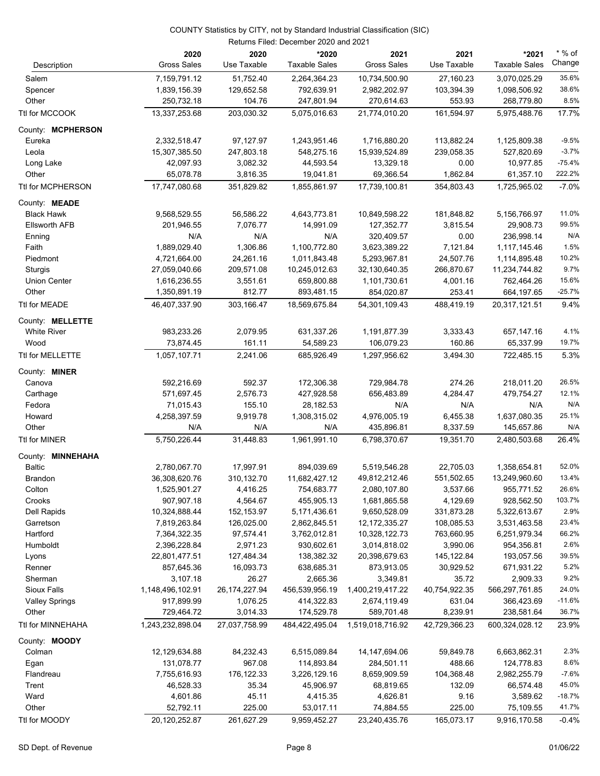| Description           | 2020<br><b>Gross Sales</b> | 2020<br>Use Taxable | *2020<br><b>Taxable Sales</b> | 2021<br><b>Gross Sales</b> | 2021<br>Use Taxable | *2021<br><b>Taxable Sales</b> | $*$ % of<br>Change |
|-----------------------|----------------------------|---------------------|-------------------------------|----------------------------|---------------------|-------------------------------|--------------------|
| Salem                 | 7,159,791.12               | 51,752.40           | 2,264,364.23                  | 10,734,500.90              | 27,160.23           | 3,070,025.29                  | 35.6%              |
| Spencer               | 1,839,156.39               | 129,652.58          | 792,639.91                    | 2,982,202.97               | 103,394.39          | 1,098,506.92                  | 38.6%              |
| Other                 | 250,732.18                 | 104.76              | 247,801.94                    | 270,614.63                 | 553.93              | 268,779.80                    | 8.5%               |
| Ttl for MCCOOK        | 13,337,253.68              | 203,030.32          | 5,075,016.63                  | 21,774,010.20              | 161,594.97          | 5,975,488.76                  | 17.7%              |
| County: MCPHERSON     |                            |                     |                               |                            |                     |                               |                    |
| Eureka                | 2,332,518.47               | 97,127.97           | 1,243,951.46                  | 1,716,880.20               | 113,882.24          | 1,125,809.38                  | $-9.5%$            |
| Leola                 | 15,307,385.50              | 247,803.18          | 548,275.16                    | 15,939,524.89              | 239,058.35          | 527,820.69                    | $-3.7%$            |
| Long Lake             | 42,097.93                  | 3,082.32            | 44,593.54                     | 13,329.18                  | 0.00                | 10,977.85                     | $-75.4%$           |
| Other                 | 65,078.78                  | 3,816.35            | 19,041.81                     | 69,366.54                  | 1,862.84            | 61,357.10                     | 222.2%             |
| Ttl for MCPHERSON     | 17,747,080.68              | 351,829.82          | 1,855,861.97                  | 17,739,100.81              | 354,803.43          | 1,725,965.02                  | $-7.0%$            |
| County: MEADE         |                            |                     |                               |                            |                     |                               |                    |
| <b>Black Hawk</b>     | 9,568,529.55               | 56,586.22           | 4,643,773.81                  | 10,849,598.22              | 181,848.82          | 5,156,766.97                  | 11.0%              |
| <b>Ellsworth AFB</b>  | 201,946.55                 | 7,076.77            | 14,991.09                     | 127,352.77                 | 3,815.54            | 29,908.73                     | 99.5%              |
| Enning                | N/A                        | N/A                 | N/A                           | 320,409.57                 | 0.00                | 236,998.14                    | N/A                |
| Faith                 | 1,889,029.40               | 1,306.86            | 1,100,772.80                  | 3,623,389.22               | 7,121.84            | 1,117,145.46                  | 1.5%               |
| Piedmont              | 4,721,664.00               | 24,261.16           | 1,011,843.48                  | 5,293,967.81               | 24,507.76           | 1,114,895.48                  | 10.2%              |
| Sturgis               | 27,059,040.66              | 209,571.08          | 10,245,012.63                 | 32,130,640.35              | 266,870.67          | 11,234,744.82                 | 9.7%               |
| <b>Union Center</b>   | 1,616,236.55               | 3,551.61            | 659,800.88                    | 1,101,730.61               | 4,001.16            | 762,464.26                    | 15.6%              |
| Other                 | 1,350,891.19               | 812.77              | 893,481.15                    | 854,020.87                 | 253.41              | 664,197.65                    | $-25.7%$           |
| Ttl for MEADE         | 46,407,337.90              | 303,166.47          | 18,569,675.84                 | 54.301.109.43              | 488,419.19          | 20,317,121.51                 | 9.4%               |
| County: MELLETTE      |                            |                     |                               |                            |                     |                               |                    |
| <b>White River</b>    | 983,233.26                 | 2,079.95            | 631,337.26                    | 1,191,877.39               | 3,333.43            | 657,147.16                    | 4.1%               |
| Wood                  | 73,874.45                  | 161.11              | 54,589.23                     | 106,079.23                 | 160.86              | 65,337.99                     | 19.7%              |
| Ttl for MELLETTE      | 1,057,107.71               | 2,241.06            | 685,926.49                    | 1,297,956.62               | 3,494.30            | 722,485.15                    | 5.3%               |
| County: MINER         |                            |                     |                               |                            |                     |                               |                    |
| Canova                | 592,216.69                 | 592.37              | 172,306.38                    | 729,984.78                 | 274.26              | 218,011.20                    | 26.5%              |
| Carthage              | 571,697.45                 | 2,576.73            | 427,928.58                    | 656,483.89                 | 4,284.47            | 479,754.27                    | 12.1%              |
| Fedora                | 71,015.43                  | 155.10              | 28,182.53                     | N/A                        | N/A                 | N/A                           | N/A                |
| Howard                | 4,258,397.59               | 9,919.78            | 1,308,315.02                  | 4,976,005.19               | 6,455.38            | 1,637,080.35                  | 25.1%              |
| Other                 | N/A                        | N/A                 | N/A                           | 435,896.81                 | 8,337.59            | 145,657.86                    | N/A                |
| Ttl for MINER         | 5,750,226.44               | 31,448.83           | 1.961.991.10                  | 6,798,370.67               | 19,351.70           | 2,480,503.68                  | 26.4%              |
| County: MINNEHAHA     |                            |                     |                               |                            |                     |                               |                    |
| <b>Baltic</b>         | 2,780,067.70               | 17,997.91           | 894,039.69                    | 5,519,546.28               | 22,705.03           | 1,358,654.81                  | 52.0%              |
| Brandon               | 36,308,620.76              | 310,132.70          | 11,682,427.12                 | 49,812,212.46              | 551,502.65          | 13,249,960.60                 | 13.4%              |
| Colton                | 1,525,901.27               | 4,416.25            | 754,683.77                    | 2,080,107.80               | 3,537.66            | 955,771.52                    | 26.6%              |
| Crooks                | 907,907.18                 | 4,564.67            | 455,905.13                    | 1,681,865.58               | 4,129.69            | 928,562.50                    | 103.7%             |
| Dell Rapids           | 10,324,888.44              | 152,153.97          | 5,171,436.61                  | 9,650,528.09               | 331,873.28          | 5,322,613.67                  | 2.9%               |
| Garretson             | 7,819,263.84               | 126,025.00          | 2,862,845.51                  | 12, 172, 335. 27           | 108,085.53          | 3,531,463.58                  | 23.4%              |
| Hartford              | 7,364,322.35               | 97,574.41           | 3,762,012.81                  | 10,328,122.73              | 763,660.95          | 6,251,979.34                  | 66.2%              |
| Humboldt              | 2,396,228.84               | 2,971.23            | 930,602.61                    | 3,014,818.02               | 3,990.06            | 954,356.81                    | 2.6%               |
| Lyons                 | 22,801,477.51              | 127,484.34          | 138,382.32                    | 20,398,679.63              | 145,122.84          | 193,057.56                    | 39.5%              |
| Renner                | 857,645.36                 | 16,093.73           | 638,685.31                    | 873,913.05                 | 30,929.52           | 671,931.22                    | 5.2%               |
| Sherman               | 3,107.18                   | 26.27               | 2,665.36                      | 3,349.81                   | 35.72               | 2,909.33                      | 9.2%               |
| Sioux Falls           | 1,148,496,102.91           | 26, 174, 227. 94    | 456,539,956.19                | 1,400,219,417.22           | 40,754,922.35       | 566,297,761.85                | 24.0%              |
| <b>Valley Springs</b> | 917,899.99                 | 1,076.25            | 414,322.83                    | 2,674,119.49               | 631.04              | 366,423.69                    | $-11.6%$           |
| Other                 | 729,464.72                 | 3,014.33            | 174,529.78                    | 589,701.48                 | 8,239.91            | 238,581.64                    | 36.7%              |
| Ttl for MINNEHAHA     | 1,243,232,898.04           | 27,037,758.99       | 484,422,495.04                | 1,519,018,716.92           | 42,729,366.23       | 600,324,028.12                | 23.9%              |
| County: MOODY         |                            |                     |                               |                            |                     |                               |                    |
| Colman                | 12,129,634.88              | 84,232.43           | 6,515,089.84                  | 14, 147, 694. 06           | 59,849.78           | 6,663,862.31                  | 2.3%               |
| Egan                  | 131,078.77                 | 967.08              | 114,893.84                    | 284,501.11                 | 488.66              | 124,778.83                    | 8.6%               |
| Flandreau             | 7,755,616.93               | 176,122.33          | 3,226,129.16                  | 8,659,909.59               | 104,368.48          | 2,982,255.79                  | $-7.6%$            |
| Trent                 | 46,528.33                  | 35.34               | 45,906.97                     | 68,819.65                  | 132.09              | 66,574.48                     | 45.0%              |
| Ward                  | 4,601.86                   | 45.11               | 4,415.35                      | 4,626.81                   | 9.16                | 3,589.62                      | $-18.7%$           |
| Other                 | 52,792.11                  | 225.00              | 53,017.11                     | 74,884.55                  | 225.00              | 75,109.55                     | 41.7%              |
| Ttl for MOODY         | 20,120,252.87              | 261,627.29          | 9,959,452.27                  | 23,240,435.76              | 165,073.17          | 9,916,170.58                  | $-0.4%$            |
|                       |                            |                     |                               |                            |                     |                               |                    |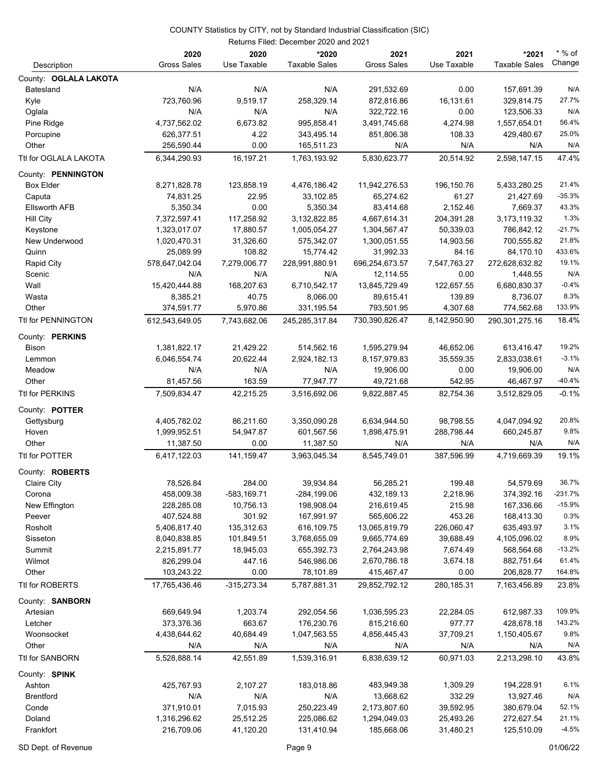|                        |                     |                  | Returns Filed: December 2020 and 2021 |                     |                  |                      |           |
|------------------------|---------------------|------------------|---------------------------------------|---------------------|------------------|----------------------|-----------|
|                        | 2020                | 2020             | *2020                                 | 2021                | 2021             | *2021                | $*$ % of  |
| Description            | <b>Gross Sales</b>  | Use Taxable      | <b>Taxable Sales</b>                  | <b>Gross Sales</b>  | Use Taxable      | <b>Taxable Sales</b> | Change    |
| County: OGLALA LAKOTA  |                     |                  |                                       |                     |                  |                      |           |
| <b>Batesland</b>       | N/A                 | N/A              | N/A                                   | 291,532.69          | 0.00             | 157,691.39           | N/A       |
| Kyle                   | 723,760.96          | 9,519.17         | 258,329.14                            | 872,816.86          | 16,131.61        | 329,814.75           | 27.7%     |
| Oglala                 | N/A                 | N/A              | N/A                                   | 322,722.16          | 0.00             | 123,506.33           | N/A       |
| Pine Ridge             | 4,737,562.02        | 6,673.82         | 995,858.41                            | 3,491,745.68        | 4,274.98         | 1,557,654.01         | 56.4%     |
| Porcupine              | 626,377.51          | 4.22             | 343,495.14                            | 851,806.38          | 108.33           | 429,480.67           | 25.0%     |
| Other                  | 256,590.44          | 0.00             | 165,511.23                            | N/A                 | N/A              | N/A                  | N/A       |
| Ttl for OGLALA LAKOTA  | 6,344,290.93        | 16,197.21        | 1,763,193.92                          | 5,830,623.77        | 20,514.92        | 2,598,147.15         | 47.4%     |
| County: PENNINGTON     |                     |                  |                                       |                     |                  |                      |           |
| <b>Box Elder</b>       | 8,271,828.78        | 123,858.19       | 4,476,186.42                          | 11,942,276.53       | 196,150.76       | 5,433,280.25         | 21.4%     |
| Caputa                 | 74,831.25           | 22.95            | 33,102.85                             | 65,274.62           | 61.27            | 21,427.69            | $-35.3%$  |
| <b>Ellsworth AFB</b>   | 5,350.34            | 0.00             | 5,350.34                              | 83,414.68           | 2,152.46         | 7,669.37             | 43.3%     |
| Hill City              | 7,372,597.41        | 117,258.92       | 3,132,822.85                          | 4,667,614.31        | 204,391.28       | 3,173,119.32         | 1.3%      |
| Keystone               | 1,323,017.07        | 17,880.57        | 1,005,054.27                          | 1,304,567.47        | 50,339.03        | 786,842.12           | $-21.7%$  |
| New Underwood          | 1,020,470.31        | 31,326.60        | 575,342.07                            | 1,300,051.55        | 14,903.56        | 700,555.82           | 21.8%     |
| Quinn                  | 25,089.99           | 108.82           | 15,774.42                             | 31,992.33           | 84.16            | 84,170.10            | 433.6%    |
|                        | 578,647,042.04      | 7,279,006.77     | 228,991,880.91                        | 696,254,673.57      | 7,547,763.27     | 272,628,632.82       | 19.1%     |
| Rapid City             |                     |                  |                                       |                     | 0.00             |                      | N/A       |
| Scenic                 | N/A                 | N/A              | N/A                                   | 12,114.55           |                  | 1,448.55             | $-0.4%$   |
| Wall                   | 15,420,444.88       | 168,207.63       | 6,710,542.17                          | 13,845,729.49       | 122,657.55       | 6,680,830.37         | 8.3%      |
| Wasta                  | 8,385.21            | 40.75            | 8,066.00                              | 89,615.41           | 139.89           | 8,736.07             | 133.9%    |
| Other                  | 374,591.77          | 5,970.86         | 331,195.54                            | 793,501.95          | 4,307.68         | 774,562.68           |           |
| Ttl for PENNINGTON     | 612,543,649.05      | 7,743,682.06     | 245,285,317.84                        | 730,390,826.47      | 8.142.950.90     | 290,301,275.16       | 18.4%     |
| County: PERKINS        |                     |                  |                                       |                     |                  |                      |           |
| Bison                  | 1,381,822.17        | 21,429.22        | 514,562.16                            | 1,595,279.94        | 46,652.06        | 613,416.47           | 19.2%     |
| Lemmon                 | 6,046,554.74        | 20,622.44        | 2,924,182.13                          | 8,157,979.83        | 35,559.35        | 2,833,038.61         | $-3.1%$   |
| Meadow                 | N/A                 | N/A              | N/A                                   | 19,906.00           | 0.00             | 19,906.00            | N/A       |
| Other                  | 81,457.56           | 163.59           | 77,947.77                             | 49,721.68           | 542.95           | 46,467.97            | $-40.4%$  |
| Ttl for PERKINS        | 7,509,834.47        | 42,215.25        | 3,516,692.06                          | 9,822,887.45        | 82,754.36        | 3,512,829.05         | $-0.1%$   |
| County: POTTER         |                     |                  |                                       |                     |                  |                      |           |
| Gettysburg             | 4,405,782.02        | 86,211.60        | 3,350,090.28                          | 6,634,944.50        | 98,798.55        | 4,047,094.92         | 20.8%     |
| Hoven                  | 1,999,952.51        | 54,947.87        | 601,567.56                            | 1,898,475.91        | 288,798.44       | 660,245.87           | 9.8%      |
| Other                  | 11,387.50           | 0.00             | 11,387.50                             | N/A                 | N/A              | N/A                  | N/A       |
| Ttl for POTTER         | 6,417,122.03        | 141, 159.47      | 3,963,045.34                          | 8,545,749.01        | 387,596.99       | 4,719,669.39         | 19.1%     |
| County: <b>ROBERTS</b> |                     |                  |                                       |                     |                  |                      |           |
| Claire City            | 78,526.84           | 284.00           | 39,934.84                             | 56,285.21           | 199.48           | 54,579.69            | 36.7%     |
| Corona                 | 458,009.38          | -583,169.71      | $-284, 199.06$                        | 432,189.13          | 2,218.96         | 374,392.16           | $-231.7%$ |
| New Effington          | 228,285.08          | 10,756.13        | 198,908.04                            | 216,619.45          | 215.98           | 167,336.66           | $-15.9%$  |
| Peever                 | 407,524.88          | 301.92           | 167,991.97                            | 565,606.22          | 453.26           | 168,413.30           | 0.3%      |
| Rosholt                | 5,406,817.40        | 135,312.63       | 616,109.75                            | 13,065,819.79       | 226,060.47       | 635,493.97           | 3.1%      |
| Sisseton               | 8,040,838.85        | 101,849.51       | 3,768,655.09                          | 9,665,774.69        | 39,688.49        | 4,105,096.02         | 8.9%      |
| Summit                 | 2,215,891.77        | 18,945.03        | 655,392.73                            | 2,764,243.98        | 7,674.49         | 568,564.68           | $-13.2%$  |
| Wilmot                 | 826,299.04          | 447.16           | 546,986.06                            | 2,670,786.18        | 3,674.18         | 882,751.64           | 61.4%     |
| Other                  | 103,243.22          | 0.00             | 78,101.89                             | 415,467.47          | 0.00             | 206,828.77           | 164.8%    |
| Ttl for ROBERTS        | 17,765,436.46       | $-315,273.34$    | 5,787,881.31                          | 29,852,792.12       | 280,185.31       | 7,163,456.89         | 23.8%     |
| County: SANBORN        |                     |                  |                                       |                     |                  |                      |           |
| Artesian               | 669,649.94          | 1,203.74         | 292,054.56                            | 1,036,595.23        | 22,284.05        | 612,987.33           | 109.9%    |
| Letcher                | 373,376.36          | 663.67           | 176,230.76                            | 815,216.60          | 977.77           | 428,678.18           | 143.2%    |
|                        |                     |                  |                                       |                     |                  |                      | 9.8%      |
| Woonsocket<br>Other    | 4,438,644.62<br>N/A | 40,684.49<br>N/A | 1,047,563.55<br>N/A                   | 4,856,445.43<br>N/A | 37,709.21<br>N/A | 1,150,405.67<br>N/A  | N/A       |
| Ttl for SANBORN        | 5,528,888.14        | 42,551.89        | 1,539,316.91                          | 6,838,639.12        | 60,971.03        | 2,213,298.10         | 43.8%     |
|                        |                     |                  |                                       |                     |                  |                      |           |
| County: SPINK          |                     |                  |                                       |                     |                  |                      |           |
| Ashton                 | 425,767.93          | 2,107.27         | 183,018.86                            | 483,949.38          | 1,309.29         | 194,228.91           | 6.1%      |
| <b>Brentford</b>       | N/A                 | N/A              | N/A                                   | 13,668.62           | 332.29           | 13,927.46            | N/A       |
| Conde                  | 371,910.01          | 7,015.93         | 250,223.49                            | 2,173,807.60        | 39,592.95        | 380,679.04           | 52.1%     |
| Doland                 | 1,316,296.62        | 25,512.25        | 225,086.62                            | 1,294,049.03        | 25,493.26        | 272,627.54           | 21.1%     |
| Frankfort              | 216,709.06          | 41,120.20        | 131,410.94                            | 185,668.06          | 31,480.21        | 125,510.09           | $-4.5%$   |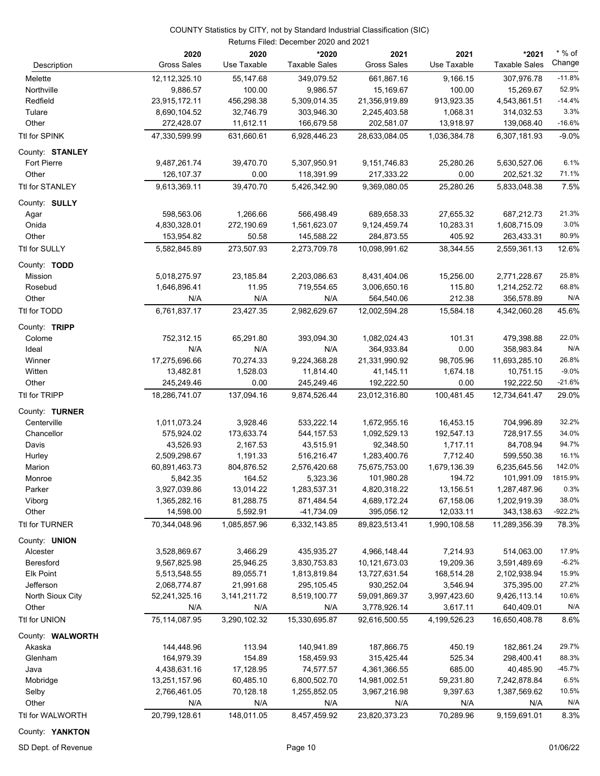| Description             | 2020<br><b>Gross Sales</b> | 2020<br>Use Taxable | *2020<br><b>Taxable Sales</b> | 2021<br><b>Gross Sales</b> | 2021<br>Use Taxable | *2021<br><b>Taxable Sales</b> | $*$ % of<br>Change |
|-------------------------|----------------------------|---------------------|-------------------------------|----------------------------|---------------------|-------------------------------|--------------------|
| Melette                 | 12,112,325.10              | 55,147.68           | 349,079.52                    | 661,867.16                 | 9,166.15            | 307,976.78                    | $-11.8%$           |
| Northville              | 9,886.57                   | 100.00              | 9,986.57                      | 15,169.67                  | 100.00              | 15,269.67                     | 52.9%              |
| Redfield                | 23,915,172.11              | 456,298.38          | 5,309,014.35                  | 21,356,919.89              | 913,923.35          | 4,543,861.51                  | $-14.4%$           |
| Tulare                  | 8,690,104.52               | 32,746.79           | 303,946.30                    | 2,245,403.58               | 1,068.31            | 314,032.53                    | 3.3%               |
| Other                   | 272,428.07                 | 11,612.11           | 166,679.58                    | 202,581.07                 | 13,918.97           | 139,068.40                    | $-16.6%$           |
| Ttl for SPINK           | 47,330,599.99              | 631,660.61          | 6,928,446.23                  | 28,633,084.05              | 1,036,384.78        | 6,307,181.93                  | $-9.0%$            |
| County: STANLEY         |                            |                     |                               |                            |                     |                               |                    |
| <b>Fort Pierre</b>      | 9,487,261.74               | 39,470.70           | 5,307,950.91                  | 9,151,746.83               | 25,280.26           | 5,630,527.06                  | 6.1%               |
| Other                   | 126,107.37                 | 0.00                | 118,391.99                    | 217,333.22                 | 0.00                | 202,521.32                    | 71.1%              |
| Ttl for STANLEY         | 9,613,369.11               | 39,470.70           | 5,426,342.90                  | 9,369,080.05               | 25,280.26           | 5,833,048.38                  | 7.5%               |
| County: <b>SULLY</b>    |                            |                     |                               |                            |                     |                               |                    |
| Agar                    | 598,563.06                 | 1,266.66            | 566,498.49                    | 689,658.33                 | 27,655.32           | 687,212.73                    | 21.3%              |
| Onida                   | 4,830,328.01               | 272,190.69          | 1,561,623.07                  | 9,124,459.74               | 10,283.31           | 1,608,715.09                  | 3.0%               |
| Other                   | 153,954.82                 | 50.58               | 145,588.22                    | 284,873.55                 | 405.92              | 263,433.31                    | 80.9%              |
| Ttl for SULLY           | 5,582,845.89               | 273,507.93          | 2,273,709.78                  | 10,098,991.62              | 38,344.55           | 2,559,361.13                  | 12.6%              |
|                         |                            |                     |                               |                            |                     |                               |                    |
| County: TODD<br>Mission | 5,018,275.97               | 23,185.84           | 2,203,086.63                  | 8,431,404.06               | 15,256.00           | 2,771,228.67                  | 25.8%              |
| Rosebud                 | 1,646,896.41               | 11.95               | 719,554.65                    | 3,006,650.16               | 115.80              | 1,214,252.72                  | 68.8%              |
| Other                   | N/A                        | N/A                 | N/A                           | 564,540.06                 | 212.38              | 356,578.89                    | N/A                |
| Ttl for TODD            | 6,761,837.17               | 23,427.35           | 2,982,629.67                  | 12,002,594.28              | 15,584.18           | 4,342,060.28                  | 45.6%              |
|                         |                            |                     |                               |                            |                     |                               |                    |
| County: TRIPP<br>Colome | 752,312.15                 | 65,291.80           | 393,094.30                    | 1,082,024.43               | 101.31              | 479,398.88                    | 22.0%              |
| Ideal                   | N/A                        | N/A                 | N/A                           | 364,933.84                 | 0.00                | 358,983.84                    | N/A                |
| Winner                  | 17,275,696.66              | 70,274.33           | 9,224,368.28                  | 21,331,990.92              | 98,705.96           | 11,693,285.10                 | 26.8%              |
| Witten                  | 13,482.81                  | 1,528.03            | 11,814.40                     | 41,145.11                  | 1,674.18            | 10,751.15                     | $-9.0%$            |
| Other                   | 245,249.46                 | 0.00                | 245,249.46                    | 192,222.50                 | 0.00                | 192,222.50                    | $-21.6%$           |
| Ttl for TRIPP           | 18,286,741.07              | 137,094.16          | 9.874,526.44                  | 23,012,316.80              | 100,481.45          | 12,734,641.47                 | 29.0%              |
| County: TURNER          |                            |                     |                               |                            |                     |                               |                    |
| Centerville             | 1,011,073.24               | 3,928.46            | 533,222.14                    | 1,672,955.16               | 16,453.15           | 704,996.89                    | 32.2%              |
| Chancellor              | 575,924.02                 | 173,633.74          | 544, 157.53                   | 1,092,529.13               | 192,547.13          | 728,917.55                    | 34.0%              |
| Davis                   | 43,526.93                  | 2,167.53            | 43,515.91                     | 92,348.50                  | 1,717.11            | 84,708.94                     | 94.7%              |
| Hurley                  | 2,509,298.67               | 1,191.33            | 516,216.47                    | 1,283,400.76               | 7,712.40            | 599,550.38                    | 16.1%              |
| Marion                  | 60,891,463.73              | 804,876.52          | 2,576,420.68                  | 75,675,753.00              | 1,679,136.39        | 6,235,645.56                  | 142.0%             |
| Monroe                  | 5,842.35                   | 164.52              | 5,323.36                      | 101,980.28                 | 194.72              | 101,991.09                    | 1815.9%            |
| Parker                  | 3,927,039.86               | 13,014.22           | 1,283,537.31                  | 4,820,318.22               | 13,156.51           | 1,287,487.96                  | 0.3%               |
| Viborg                  | 1,365,282.16               | 81,288.75           | 871,484.54                    | 4,689,172.24               | 67,158.06           | 1,202,919.39                  | 38.0%              |
| Other                   | 14,598.00                  | 5,592.91            | -41,734.09                    | 395,056.12                 | 12,033.11           | 343,138.63                    | $-922.2%$          |
| Ttl for TURNER          | 70,344,048.96              | 1,085,857.96        | 6,332,143.85                  | 89,823,513.41              | 1,990,108.58        | 11,289,356.39                 | 78.3%              |
| County: <b>UNION</b>    |                            |                     |                               |                            |                     |                               |                    |
| Alcester                | 3,528,869.67               | 3,466.29            | 435,935.27                    | 4,966,148.44               | 7,214.93            | 514,063.00                    | 17.9%              |
| Beresford               | 9,567,825.98               | 25,946.25           | 3,830,753.83                  | 10,121,673.03              | 19,209.36           | 3,591,489.69                  | $-6.2%$            |
| Elk Point               | 5,513,548.55               | 89,055.71           | 1,813,819.84                  | 13,727,631.54              | 168,514.28          | 2,102,938.94                  | 15.9%              |
| Jefferson               | 2,068,774.87               | 21,991.68           | 295,105.45                    | 930,252.04                 | 3,546.94            | 375,395.00                    | 27.2%              |
| North Sioux City        | 52,241,325.16              | 3, 141, 211. 72     | 8,519,100.77                  | 59,091,869.37              | 3,997,423.60        | 9,426,113.14                  | 10.6%              |
| Other                   | N/A                        | N/A                 | N/A                           | 3,778,926.14               | 3,617.11            | 640,409.01                    | N/A                |
| Ttl for UNION           | 75,114,087.95              | 3,290,102.32        | 15,330,695.87                 | 92,616,500.55              | 4,199,526.23        | 16,650,408.78                 | 8.6%               |
| County: WALWORTH        |                            |                     |                               |                            |                     |                               |                    |
| Akaska                  | 144,448.96                 | 113.94              | 140,941.89                    | 187,866.75                 | 450.19              | 182,861.24                    | 29.7%              |
| Glenham                 | 164,979.39                 | 154.89              | 158,459.93                    | 315,425.44                 | 525.34              | 298,400.41                    | 88.3%              |
| Java                    | 4,438,631.16               | 17,128.95           | 74,577.57                     | 4,361,366.55               | 685.00              | 40,485.90                     | $-45.7%$           |
| Mobridge                | 13,251,157.96              | 60,485.10           | 6,800,502.70                  | 14,981,002.51              | 59,231.80           | 7,242,878.84                  | 6.5%               |
| Selby                   | 2,766,461.05               | 70,128.18           | 1,255,852.05                  | 3,967,216.98               | 9,397.63            | 1,387,569.62                  | 10.5%              |
| Other                   | N/A                        | N/A                 | N/A                           | N/A                        | N/A                 | N/A                           | N/A                |
| Ttl for WALWORTH        | 20,799,128.61              | 148,011.05          | 8,457,459.92                  | 23,820,373.23              | 70,289.96           | 9,159,691.01                  | 8.3%               |

County: **YANKTON**

SD Dept. of Revenue **Page 10** Page 10 **Page 10 Page 10 Page 10 Page 10 Page 10 Page 10 Page 10 Page 10 Page 10 Page 10 Page 10 Page 10 Page 10 Page 10 Page 10 Page 10 Page 10 Page 10 Pag**